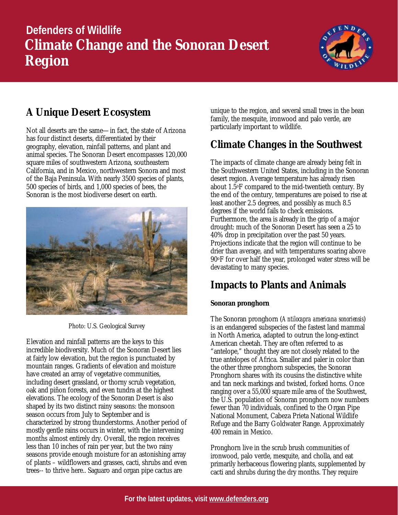# **Defenders of Wildlife Climate Change and the Sonoran Desert Region**



## **A Unique Desert Ecosystem**

Not all deserts are the same—in fact, the state of Arizona has four distinct deserts, differentiated by their geography, elevation, rainfall patterns, and plant and animal species. The Sonoran Desert encompasses 120,000 square miles of southwestern Arizona, southeastern California, and in Mexico, northwestern Sonora and most of the Baja Peninsula. With nearly 3500 species of plants, 500 species of birds, and 1,000 species of bees, the Sonoran is the most biodiverse desert on earth.



Photo: U.S. Geological Survey

Elevation and rainfall patterns are the keys to this incredible biodiversity. Much of the Sonoran Desert lies at fairly low elevation, but the region is punctuated by mountain ranges. Gradients of elevation and moisture have created an array of vegetative communities, including desert grassland, or thorny scrub vegetation, oak and piñon forests, and even tundra at the highest elevations. The ecology of the Sonoran Desert is also shaped by its two distinct rainy seasons: the monsoon season occurs from July to September and is characterized by strong thunderstorms. Another period of mostly gentle rains occurs in winter, with the intervening months almost entirely dry. Overall, the region receives less than 10 inches of rain per year, but the two rainy seasons provide enough moisture for an astonishing array of plants – wildflowers and grasses, cacti, shrubs and even trees-- to thrive here.. Saguaro and organ pipe cactus are

unique to the region, and several small trees in the bean family, the mesquite, ironwood and palo verde, are particularly important to wildlife.

## **Climate Changes in the Southwest**

The impacts of climate change are already being felt in the Southwestern United States, including in the Sonoran desert region. Average temperature has already risen about 1.5oF compared to the mid-twentieth century. By the end of the century, temperatures are poised to rise at least another 2.5 degrees, and possibly as much 8.5 degrees if the world fails to check emissions. Furthermore, the area is already in the grip of a major drought: much of the Sonoran Desert has seen a 25 to 40% drop in precipitation over the past 50 years. Projections indicate that the region will continue to be drier than average, and with temperatures soaring above 90oF for over half the year, prolonged water stress will be devastating to many species.

## **Impacts to Plants and Animals**

### *Sonoran pronghorn*

The Sonoran pronghorn (*Antilocapra americana sonoriensis*) is an endangered subspecies of the fastest land mammal in North America, adapted to outrun the long-extinct American cheetah. They are often referred to as "antelope," thought they are not closely related to the true antelopes of Africa. Smaller and paler in color than the other three pronghorn subspecies, the Sonoran Pronghorn shares with its cousins the distinctive white and tan neck markings and twisted, forked horns. Once ranging over a 55,000 square mile area of the Southwest, the U.S. population of Sonoran pronghorn now numbers fewer than 70 individuals, confined to the Organ Pipe National Monument, Cabeza Prieta National Wildlife Refuge and the Barry Goldwater Range. Approximately 400 remain in Mexico.

Pronghorn live in the scrub brush communities of ironwood, palo verde, mesquite, and cholla, and eat primarily herbaceous flowering plants, supplemented by cacti and shrubs during the dry months. They require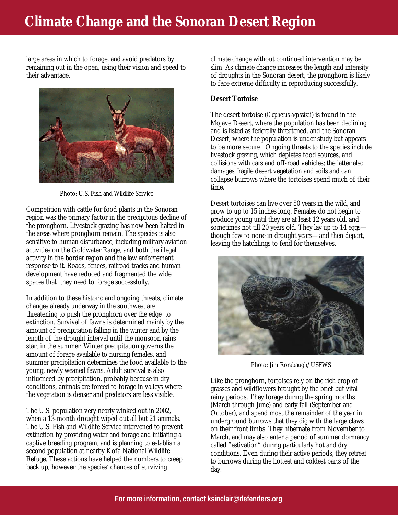## **Climate Change and the Sonoran Desert Region**

large areas in which to forage, and avoid predators by remaining out in the open, using their vision and speed to their advantage.



Photo: U.S. Fish and Wildlife Service

Competition with cattle for food plants in the Sonoran region was the primary factor in the precipitous decline of the pronghorn. Livestock grazing has now been halted in the areas where pronghorn remain. The species is also sensitive to human disturbance, including military aviation activities on the Goldwater Range, and both the illegal activity in the border region and the law enforcement response to it. Roads, fences, railroad tracks and human development have reduced and fragmented the wide spaces that they need to forage successfully.

In addition to these historic and ongoing threats, climate changes already underway in the southwest are threatening to push the pronghorn over the edge to extinction. Survival of fawns is determined mainly by the amount of precipitation falling in the winter and by the length of the drought interval until the monsoon rains start in the summer. Winter precipitation governs the amount of forage available to nursing females, and summer precipitation determines the food available to the young, newly weaned fawns. Adult survival is also influenced by precipitation, probably because in dry conditions, animals are forced to forage in valleys where the vegetation is denser and predators are less visible.

The U.S. population very nearly winked out in 2002, when a 13-month drought wiped out all but 21 animals. The U.S. Fish and Wildlife Service intervened to prevent extinction by providing water and forage and initiating a captive breeding program, and is planning to establish a second population at nearby Kofa National Wildlife Refuge. These actions have helped the numbers to creep back up, however the species' chances of surviving

climate change without continued intervention may be slim. As climate change increases the length and intensity of droughts in the Sonoran desert, the pronghorn is likely to face extreme difficulty in reproducing successfully.

#### *Desert Tortoise*

The desert tortoise (*Gopherus agassizii*) is found in the Mojave Desert, where the population has been declining and is listed as federally threatened, and the Sonoran Desert, where the population is under study but appears to be more secure. Ongoing threats to the species include livestock grazing, which depletes food sources, and collisions with cars and off-road vehicles; the latter also damages fragile desert vegetation and soils and can collapse burrows where the tortoises spend much of their time.

Desert tortoises can live over 50 years in the wild, and grow to up to 15 inches long. Females do not begin to produce young until they are at least 12 years old, and sometimes not till 20 years old. They lay up to 14 eggs though few to none in drought years—and then depart, leaving the hatchlings to fend for themselves.



Photo: Jim Rorabaugh/USFWS

Like the pronghorn, tortoises rely on the rich crop of grasses and wildflowers brought by the brief but vital rainy periods. They forage during the spring months (March through June) and early fall (September and October), and spend most the remainder of the year in underground burrows that they dig with the large claws on their front limbs. They hibernate from November to March, and may also enter a period of summer dormancy called "estivation" during particularly hot and dry conditions. Even during their active periods, they retreat to burrows during the hottest and coldest parts of the day.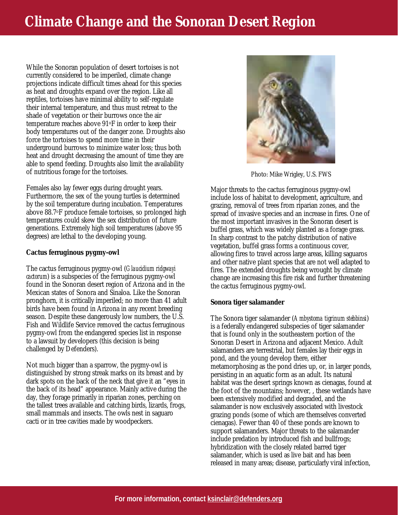## **Climate Change and the Sonoran Desert Region**

While the Sonoran population of desert tortoises is not currently considered to be imperiled, climate change projections indicate difficult times ahead for this species as heat and droughts expand over the region. Like all reptiles, tortoises have minimal ability to self-regulate their internal temperature, and thus must retreat to the shade of vegetation or their burrows once the air temperature reaches above 91oF in order to keep their body temperatures out of the danger zone. Droughts also force the tortoises to spend more time in their underground burrows to minimize water loss; thus both heat and drought decreasing the amount of time they are able to spend feeding. Droughts also limit the availability of nutritious forage for the tortoises.

Females also lay fewer eggs during drought years. Furthermore, the sex of the young turtles is determined by the soil temperature during incubation. Temperatures above 88.7oF produce female tortoises, so prolonged high temperatures could skew the sex distribution of future generations. Extremely high soil temperatures (above 95 degrees) are lethal to the developing young.

#### *Cactus ferruginous pygmy-owl*

The cactus ferruginous pygmy-owl (*Glaucidium ridgwayi cactorum*) is a subspecies of the ferruginous pygmy-owl found in the Sonoran desert region of Arizona and in the Mexican states of Sonora and Sinaloa. Like the Sonoran pronghorn, it is critically imperiled; no more than 41 adult birds have been found in Arizona in any recent breeding season. Despite these dangerously low numbers, the U.S. Fish and Wildlife Service removed the cactus ferruginous pygmy-owl from the endangered species list in response to a lawsuit by developers (this decision is being challenged by Defenders).

Not much bigger than a sparrow, the pygmy-owl is distinguished by strong streak marks on its breast and by dark spots on the back of the neck that give it an "eyes in the back of its head" appearance. Mainly active during the day, they forage primarily in riparian zones, perching on the tallest trees available and catching birds, lizards, frogs, small mammals and insects. The owls nest in saguaro cacti or in tree cavities made by woodpeckers.



Photo: Mike Wrigley, U.S. FWS

Major threats to the cactus ferruginous pygmy-owl include loss of habitat to development, agriculture, and grazing, removal of trees from riparian zones, and the spread of invasive species and an increase in fires. One of the most important invasives in the Sonoran desert is buffel grass, which was widely planted as a forage grass. In sharp contrast to the patchy distribution of native vegetation, buffel grass forms a continuous cover, allowing fires to travel across large areas, killing saguaros and other native plant species that are not well adapted to fires. The extended droughts being wrought by climate change are increasing this fire risk and further threatening the cactus ferruginous pygmy-owl.

#### *Sonora tiger salamander*

The Sonora tiger salamander (*Ambystoma tigrinum stebbinsi*) is a federally endangered subspecies of tiger salamander that is found only in the southeastern portion of the Sonoran Desert in Arizona and adjacent Mexico. Adult salamanders are terrestrial, but females lay their eggs in pond, and the young develop there, either metamorphosing as the pond dries up, or, in larger ponds, persisting in an aquatic form as an adult. Its natural habitat was the desert springs known as cienagas, found at the foot of the mountains; however, , these wetlands have been extensively modified and degraded, and the salamander is now exclusively associated with livestock grazing ponds (some of which are themselves converted cienagas). Fewer than 40 of these ponds are known to support salamanders. Major threats to the salamander include predation by introduced fish and bullfrogs; hybridization with the closely related barred tiger salamander, which is used as live bait and has been released in many areas; disease, particularly viral infection,